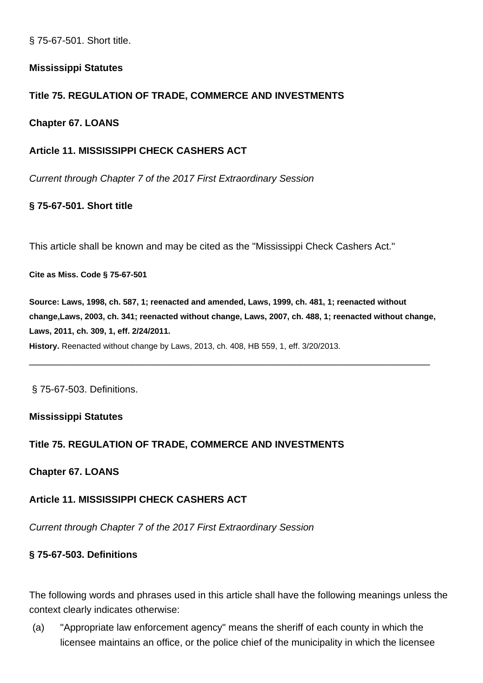§ 75-67-501. Short title.

### **Mississippi Statutes**

### **Title 75. REGULATION OF TRADE, COMMERCE AND INVESTMENTS**

### **Chapter 67. LOANS**

## **Article 11. MISSISSIPPI CHECK CASHERS ACT**

Current through Chapter 7 of the 2017 First Extraordinary Session

### **§ 75-67-501. Short title**

This article shall be known and may be cited as the "Mississippi Check Cashers Act."

**Cite as Miss. Code § 75-67-501**

**Source: Laws, 1998, ch. 587, 1; reenacted and amended, Laws, 1999, ch. 481, 1; reenacted without change,Laws, 2003, ch. 341; reenacted without change, Laws, 2007, ch. 488, 1; reenacted without change, Laws, 2011, ch. 309, 1, eff. 2/24/2011.**

\_\_\_\_\_\_\_\_\_\_\_\_\_\_\_\_\_\_\_\_\_\_\_\_\_\_\_\_\_\_\_\_\_\_\_\_\_\_\_\_\_\_\_\_\_\_\_\_\_\_\_\_\_\_\_\_\_\_\_\_\_\_\_\_\_\_\_\_\_\_\_\_\_\_

**History.** Reenacted without change by Laws, 2013, ch. 408, HB 559, 1, eff. 3/20/2013.

§ 75-67-503. Definitions.

#### **Mississippi Statutes**

#### **Title 75. REGULATION OF TRADE, COMMERCE AND INVESTMENTS**

**Chapter 67. LOANS**

## **Article 11. MISSISSIPPI CHECK CASHERS ACT**

Current through Chapter 7 of the 2017 First Extraordinary Session

#### **§ 75-67-503. Definitions**

The following words and phrases used in this article shall have the following meanings unless the context clearly indicates otherwise:

(a) "Appropriate law enforcement agency" means the sheriff of each county in which the licensee maintains an office, or the police chief of the municipality in which the licensee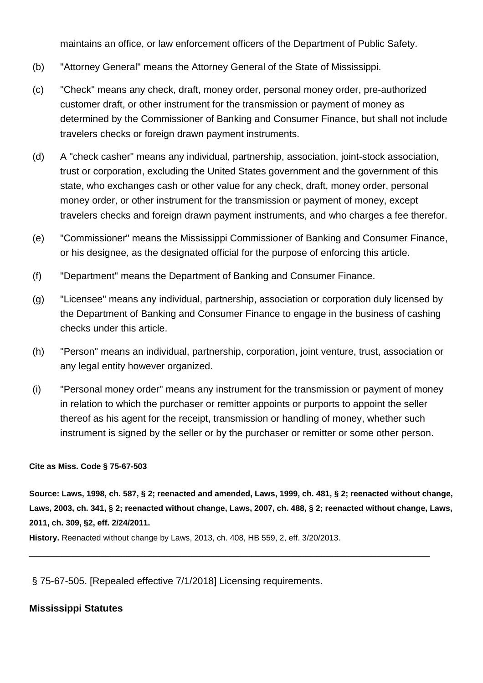maintains an office, or law enforcement officers of the Department of Public Safety.

- (b) "Attorney General" means the Attorney General of the State of Mississippi.
- (c) "Check" means any check, draft, money order, personal money order, pre-authorized customer draft, or other instrument for the transmission or payment of money as determined by the Commissioner of Banking and Consumer Finance, but shall not include travelers checks or foreign drawn payment instruments.
- (d) A "check casher" means any individual, partnership, association, joint-stock association, trust or corporation, excluding the United States government and the government of this state, who exchanges cash or other value for any check, draft, money order, personal money order, or other instrument for the transmission or payment of money, except travelers checks and foreign drawn payment instruments, and who charges a fee therefor.
- (e) "Commissioner" means the Mississippi Commissioner of Banking and Consumer Finance, or his designee, as the designated official for the purpose of enforcing this article.
- (f) "Department" means the Department of Banking and Consumer Finance.
- (g) "Licensee" means any individual, partnership, association or corporation duly licensed by the Department of Banking and Consumer Finance to engage in the business of cashing checks under this article.
- (h) "Person" means an individual, partnership, corporation, joint venture, trust, association or any legal entity however organized.
- (i) "Personal money order" means any instrument for the transmission or payment of money in relation to which the purchaser or remitter appoints or purports to appoint the seller thereof as his agent for the receipt, transmission or handling of money, whether such instrument is signed by the seller or by the purchaser or remitter or some other person.

#### **Cite as Miss. Code § 75-67-503**

**Source: Laws, 1998, ch. 587, § 2; reenacted and amended, Laws, 1999, ch. 481, § 2; reenacted without change, Laws, 2003, ch. 341, § 2; reenacted without change, Laws, 2007, ch. 488, § 2; reenacted without change, Laws, 2011, ch. 309, §2, eff. 2/24/2011.**

\_\_\_\_\_\_\_\_\_\_\_\_\_\_\_\_\_\_\_\_\_\_\_\_\_\_\_\_\_\_\_\_\_\_\_\_\_\_\_\_\_\_\_\_\_\_\_\_\_\_\_\_\_\_\_\_\_\_\_\_\_\_\_\_\_\_\_\_\_\_\_\_\_\_

**History.** Reenacted without change by Laws, 2013, ch. 408, HB 559, 2, eff. 3/20/2013.

§ 75-67-505. [Repealed effective 7/1/2018] Licensing requirements.

#### **Mississippi Statutes**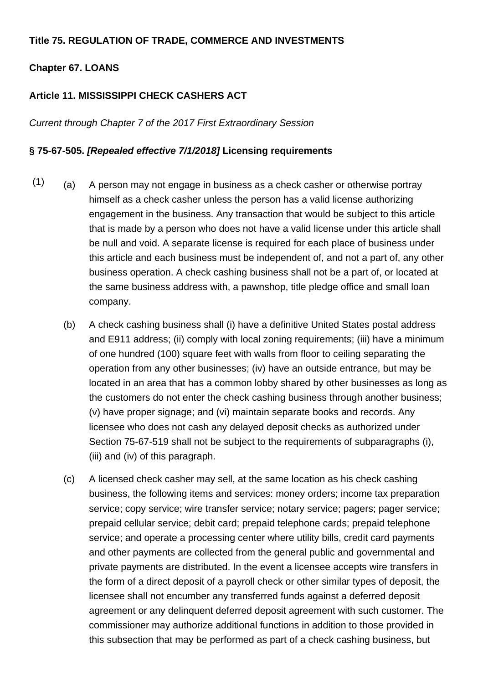### **Title 75. REGULATION OF TRADE, COMMERCE AND INVESTMENTS**

### **Chapter 67. LOANS**

### **Article 11. MISSISSIPPI CHECK CASHERS ACT**

Current through Chapter 7 of the 2017 First Extraordinary Session

#### **§ 75-67-505. [Repealed effective 7/1/2018] Licensing requirements**

- $(1)$  (a) A person may not engage in business as a check casher or otherwise portray himself as a check casher unless the person has a valid license authorizing engagement in the business. Any transaction that would be subject to this article that is made by a person who does not have a valid license under this article shall be null and void. A separate license is required for each place of business under this article and each business must be independent of, and not a part of, any other business operation. A check cashing business shall not be a part of, or located at the same business address with, a pawnshop, title pledge office and small loan company.
	- (b) A check cashing business shall (i) have a definitive United States postal address and E911 address; (ii) comply with local zoning requirements; (iii) have a minimum of one hundred (100) square feet with walls from floor to ceiling separating the operation from any other businesses; (iv) have an outside entrance, but may be located in an area that has a common lobby shared by other businesses as long as the customers do not enter the check cashing business through another business; (v) have proper signage; and (vi) maintain separate books and records. Any licensee who does not cash any delayed deposit checks as authorized under Section 75-67-519 shall not be subject to the requirements of subparagraphs (i), (iii) and (iv) of this paragraph.
	- (c) A licensed check casher may sell, at the same location as his check cashing business, the following items and services: money orders; income tax preparation service; copy service; wire transfer service; notary service; pagers; pager service; prepaid cellular service; debit card; prepaid telephone cards; prepaid telephone service; and operate a processing center where utility bills, credit card payments and other payments are collected from the general public and governmental and private payments are distributed. In the event a licensee accepts wire transfers in the form of a direct deposit of a payroll check or other similar types of deposit, the licensee shall not encumber any transferred funds against a deferred deposit agreement or any delinquent deferred deposit agreement with such customer. The commissioner may authorize additional functions in addition to those provided in this subsection that may be performed as part of a check cashing business, but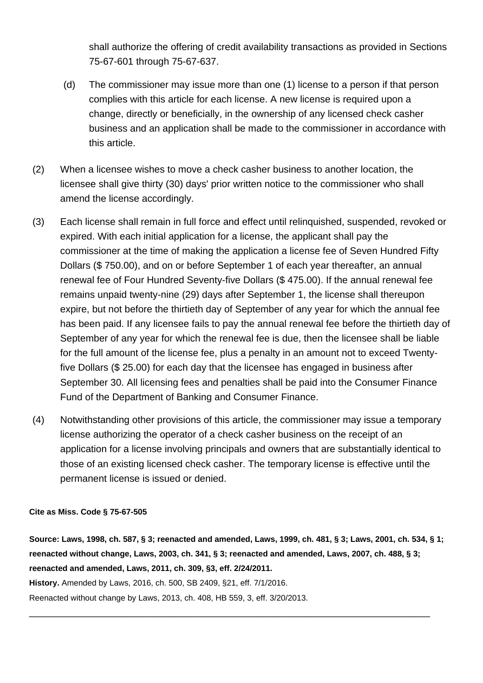shall authorize the offering of credit availability transactions as provided in Sections 75-67-601 through 75-67-637.

- (d) The commissioner may issue more than one (1) license to a person if that person complies with this article for each license. A new license is required upon a change, directly or beneficially, in the ownership of any licensed check casher business and an application shall be made to the commissioner in accordance with this article.
- (2) When a licensee wishes to move a check casher business to another location, the licensee shall give thirty (30) days' prior written notice to the commissioner who shall amend the license accordingly.
- (3) Each license shall remain in full force and effect until relinquished, suspended, revoked or expired. With each initial application for a license, the applicant shall pay the commissioner at the time of making the application a license fee of Seven Hundred Fifty Dollars (\$ 750.00), and on or before September 1 of each year thereafter, an annual renewal fee of Four Hundred Seventy-five Dollars (\$ 475.00). If the annual renewal fee remains unpaid twenty-nine (29) days after September 1, the license shall thereupon expire, but not before the thirtieth day of September of any year for which the annual fee has been paid. If any licensee fails to pay the annual renewal fee before the thirtieth day of September of any year for which the renewal fee is due, then the licensee shall be liable for the full amount of the license fee, plus a penalty in an amount not to exceed Twentyfive Dollars (\$ 25.00) for each day that the licensee has engaged in business after September 30. All licensing fees and penalties shall be paid into the Consumer Finance Fund of the Department of Banking and Consumer Finance.
- (4) Notwithstanding other provisions of this article, the commissioner may issue a temporary license authorizing the operator of a check casher business on the receipt of an application for a license involving principals and owners that are substantially identical to those of an existing licensed check casher. The temporary license is effective until the permanent license is issued or denied.

#### **Cite as Miss. Code § 75-67-505**

**Source: Laws, 1998, ch. 587, § 3; reenacted and amended, Laws, 1999, ch. 481, § 3; Laws, 2001, ch. 534, § 1; reenacted without change, Laws, 2003, ch. 341, § 3; reenacted and amended, Laws, 2007, ch. 488, § 3; reenacted and amended, Laws, 2011, ch. 309, §3, eff. 2/24/2011.**

\_\_\_\_\_\_\_\_\_\_\_\_\_\_\_\_\_\_\_\_\_\_\_\_\_\_\_\_\_\_\_\_\_\_\_\_\_\_\_\_\_\_\_\_\_\_\_\_\_\_\_\_\_\_\_\_\_\_\_\_\_\_\_\_\_\_\_\_\_\_\_\_\_\_

**History.** Amended by Laws, 2016, ch. 500, SB 2409, §21, eff. 7/1/2016.

Reenacted without change by Laws, 2013, ch. 408, HB 559, 3, eff. 3/20/2013.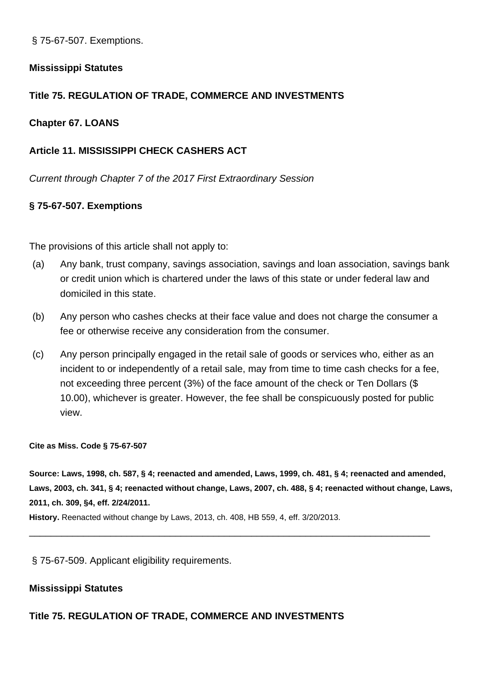§ 75-67-507. Exemptions.

## **Mississippi Statutes**

# **Title 75. REGULATION OF TRADE, COMMERCE AND INVESTMENTS**

## **Chapter 67. LOANS**

# **Article 11. MISSISSIPPI CHECK CASHERS ACT**

Current through Chapter 7 of the 2017 First Extraordinary Session

## **§ 75-67-507. Exemptions**

The provisions of this article shall not apply to:

- (a) Any bank, trust company, savings association, savings and loan association, savings bank or credit union which is chartered under the laws of this state or under federal law and domiciled in this state.
- (b) Any person who cashes checks at their face value and does not charge the consumer a fee or otherwise receive any consideration from the consumer.
- (c) Any person principally engaged in the retail sale of goods or services who, either as an incident to or independently of a retail sale, may from time to time cash checks for a fee, not exceeding three percent (3%) of the face amount of the check or Ten Dollars (\$ 10.00), whichever is greater. However, the fee shall be conspicuously posted for public view.

#### **Cite as Miss. Code § 75-67-507**

**Source: Laws, 1998, ch. 587, § 4; reenacted and amended, Laws, 1999, ch. 481, § 4; reenacted and amended, Laws, 2003, ch. 341, § 4; reenacted without change, Laws, 2007, ch. 488, § 4; reenacted without change, Laws, 2011, ch. 309, §4, eff. 2/24/2011.**

\_\_\_\_\_\_\_\_\_\_\_\_\_\_\_\_\_\_\_\_\_\_\_\_\_\_\_\_\_\_\_\_\_\_\_\_\_\_\_\_\_\_\_\_\_\_\_\_\_\_\_\_\_\_\_\_\_\_\_\_\_\_\_\_\_\_\_\_\_\_\_\_\_\_

**History.** Reenacted without change by Laws, 2013, ch. 408, HB 559, 4, eff. 3/20/2013.

§ 75-67-509. Applicant eligibility requirements.

## **Mississippi Statutes**

## **Title 75. REGULATION OF TRADE, COMMERCE AND INVESTMENTS**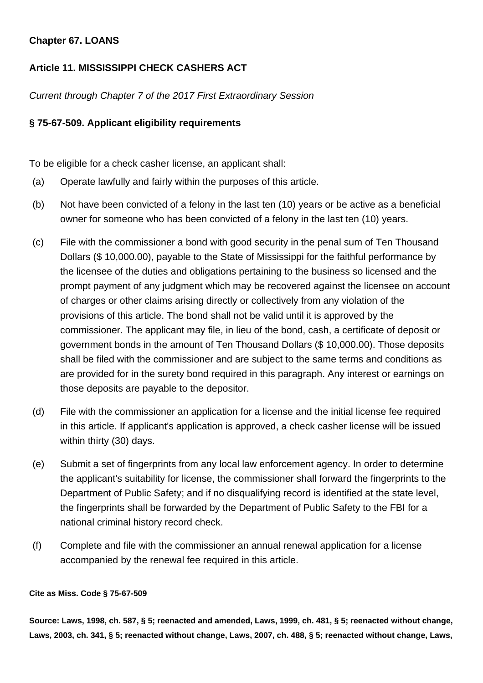# **Chapter 67. LOANS**

# **Article 11. MISSISSIPPI CHECK CASHERS ACT**

Current through Chapter 7 of the 2017 First Extraordinary Session

## **§ 75-67-509. Applicant eligibility requirements**

To be eligible for a check casher license, an applicant shall:

- (a) Operate lawfully and fairly within the purposes of this article.
- (b) Not have been convicted of a felony in the last ten (10) years or be active as a beneficial owner for someone who has been convicted of a felony in the last ten (10) years.
- (c) File with the commissioner a bond with good security in the penal sum of Ten Thousand Dollars (\$ 10,000.00), payable to the State of Mississippi for the faithful performance by the licensee of the duties and obligations pertaining to the business so licensed and the prompt payment of any judgment which may be recovered against the licensee on account of charges or other claims arising directly or collectively from any violation of the provisions of this article. The bond shall not be valid until it is approved by the commissioner. The applicant may file, in lieu of the bond, cash, a certificate of deposit or government bonds in the amount of Ten Thousand Dollars (\$ 10,000.00). Those deposits shall be filed with the commissioner and are subject to the same terms and conditions as are provided for in the surety bond required in this paragraph. Any interest or earnings on those deposits are payable to the depositor.
- (d) File with the commissioner an application for a license and the initial license fee required in this article. If applicant's application is approved, a check casher license will be issued within thirty (30) days.
- (e) Submit a set of fingerprints from any local law enforcement agency. In order to determine the applicant's suitability for license, the commissioner shall forward the fingerprints to the Department of Public Safety; and if no disqualifying record is identified at the state level, the fingerprints shall be forwarded by the Department of Public Safety to the FBI for a national criminal history record check.
- (f) Complete and file with the commissioner an annual renewal application for a license accompanied by the renewal fee required in this article.

#### **Cite as Miss. Code § 75-67-509**

**Source: Laws, 1998, ch. 587, § 5; reenacted and amended, Laws, 1999, ch. 481, § 5; reenacted without change, Laws, 2003, ch. 341, § 5; reenacted without change, Laws, 2007, ch. 488, § 5; reenacted without change, Laws,**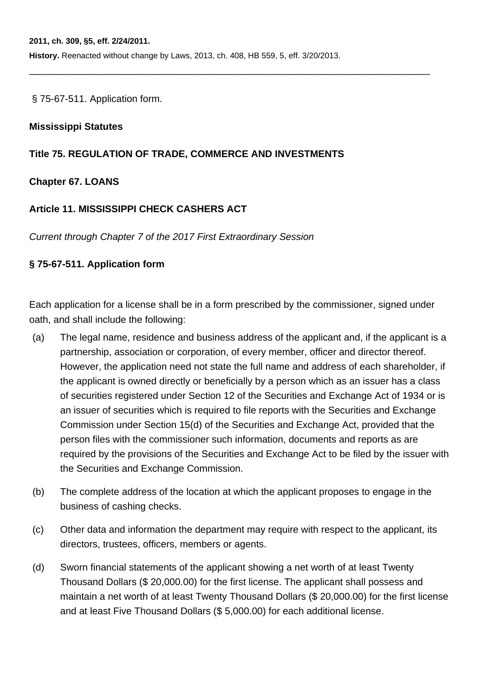**History.** Reenacted without change by Laws, 2013, ch. 408, HB 559, 5, eff. 3/20/2013.

\_\_\_\_\_\_\_\_\_\_\_\_\_\_\_\_\_\_\_\_\_\_\_\_\_\_\_\_\_\_\_\_\_\_\_\_\_\_\_\_\_\_\_\_\_\_\_\_\_\_\_\_\_\_\_\_\_\_\_\_\_\_\_\_\_\_\_\_\_\_\_\_\_\_

§ 75-67-511. Application form.

### **Mississippi Statutes**

### **Title 75. REGULATION OF TRADE, COMMERCE AND INVESTMENTS**

## **Chapter 67. LOANS**

## **Article 11. MISSISSIPPI CHECK CASHERS ACT**

Current through Chapter 7 of the 2017 First Extraordinary Session

## **§ 75-67-511. Application form**

Each application for a license shall be in a form prescribed by the commissioner, signed under oath, and shall include the following:

- (a) The legal name, residence and business address of the applicant and, if the applicant is a partnership, association or corporation, of every member, officer and director thereof. However, the application need not state the full name and address of each shareholder, if the applicant is owned directly or beneficially by a person which as an issuer has a class of securities registered under Section 12 of the Securities and Exchange Act of 1934 or is an issuer of securities which is required to file reports with the Securities and Exchange Commission under Section 15(d) of the Securities and Exchange Act, provided that the person files with the commissioner such information, documents and reports as are required by the provisions of the Securities and Exchange Act to be filed by the issuer with the Securities and Exchange Commission.
- (b) The complete address of the location at which the applicant proposes to engage in the business of cashing checks.
- (c) Other data and information the department may require with respect to the applicant, its directors, trustees, officers, members or agents.
- (d) Sworn financial statements of the applicant showing a net worth of at least Twenty Thousand Dollars (\$ 20,000.00) for the first license. The applicant shall possess and maintain a net worth of at least Twenty Thousand Dollars (\$ 20,000.00) for the first license and at least Five Thousand Dollars (\$ 5,000.00) for each additional license.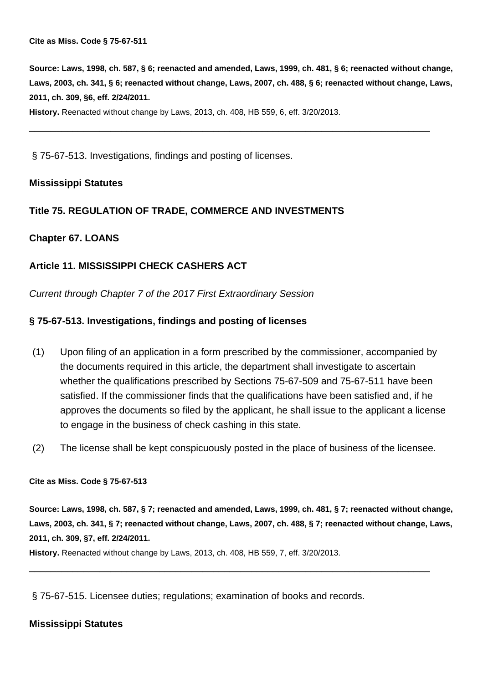**Source: Laws, 1998, ch. 587, § 6; reenacted and amended, Laws, 1999, ch. 481, § 6; reenacted without change, Laws, 2003, ch. 341, § 6; reenacted without change, Laws, 2007, ch. 488, § 6; reenacted without change, Laws, 2011, ch. 309, §6, eff. 2/24/2011.**

\_\_\_\_\_\_\_\_\_\_\_\_\_\_\_\_\_\_\_\_\_\_\_\_\_\_\_\_\_\_\_\_\_\_\_\_\_\_\_\_\_\_\_\_\_\_\_\_\_\_\_\_\_\_\_\_\_\_\_\_\_\_\_\_\_\_\_\_\_\_\_\_\_\_

**History.** Reenacted without change by Laws, 2013, ch. 408, HB 559, 6, eff. 3/20/2013.

§ 75-67-513. Investigations, findings and posting of licenses.

#### **Mississippi Statutes**

#### **Title 75. REGULATION OF TRADE, COMMERCE AND INVESTMENTS**

#### **Chapter 67. LOANS**

#### **Article 11. MISSISSIPPI CHECK CASHERS ACT**

Current through Chapter 7 of the 2017 First Extraordinary Session

#### **§ 75-67-513. Investigations, findings and posting of licenses**

- (1) Upon filing of an application in a form prescribed by the commissioner, accompanied by the documents required in this article, the department shall investigate to ascertain whether the qualifications prescribed by Sections 75-67-509 and 75-67-511 have been satisfied. If the commissioner finds that the qualifications have been satisfied and, if he approves the documents so filed by the applicant, he shall issue to the applicant a license to engage in the business of check cashing in this state.
- (2) The license shall be kept conspicuously posted in the place of business of the licensee.

**Cite as Miss. Code § 75-67-513**

**Source: Laws, 1998, ch. 587, § 7; reenacted and amended, Laws, 1999, ch. 481, § 7; reenacted without change, Laws, 2003, ch. 341, § 7; reenacted without change, Laws, 2007, ch. 488, § 7; reenacted without change, Laws, 2011, ch. 309, §7, eff. 2/24/2011.**

\_\_\_\_\_\_\_\_\_\_\_\_\_\_\_\_\_\_\_\_\_\_\_\_\_\_\_\_\_\_\_\_\_\_\_\_\_\_\_\_\_\_\_\_\_\_\_\_\_\_\_\_\_\_\_\_\_\_\_\_\_\_\_\_\_\_\_\_\_\_\_\_\_\_

**History.** Reenacted without change by Laws, 2013, ch. 408, HB 559, 7, eff. 3/20/2013.

§ 75-67-515. Licensee duties; regulations; examination of books and records.

#### **Mississippi Statutes**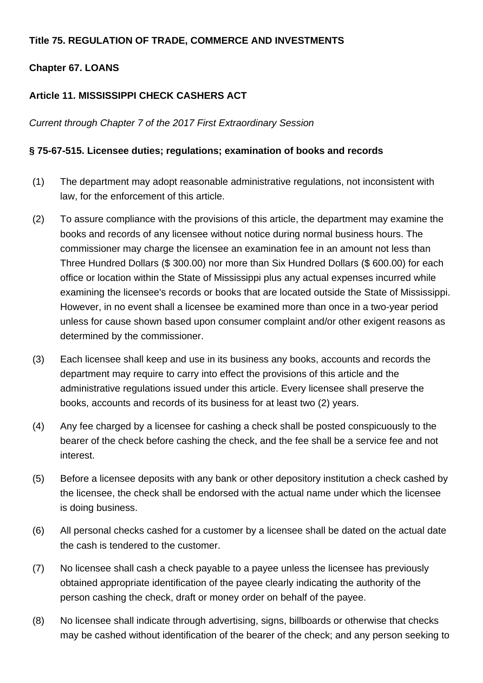# **Title 75. REGULATION OF TRADE, COMMERCE AND INVESTMENTS**

# **Chapter 67. LOANS**

# **Article 11. MISSISSIPPI CHECK CASHERS ACT**

Current through Chapter 7 of the 2017 First Extraordinary Session

# **§ 75-67-515. Licensee duties; regulations; examination of books and records**

- (1) The department may adopt reasonable administrative regulations, not inconsistent with law, for the enforcement of this article.
- (2) To assure compliance with the provisions of this article, the department may examine the books and records of any licensee without notice during normal business hours. The commissioner may charge the licensee an examination fee in an amount not less than Three Hundred Dollars (\$ 300.00) nor more than Six Hundred Dollars (\$ 600.00) for each office or location within the State of Mississippi plus any actual expenses incurred while examining the licensee's records or books that are located outside the State of Mississippi. However, in no event shall a licensee be examined more than once in a two-year period unless for cause shown based upon consumer complaint and/or other exigent reasons as determined by the commissioner.
- (3) Each licensee shall keep and use in its business any books, accounts and records the department may require to carry into effect the provisions of this article and the administrative regulations issued under this article. Every licensee shall preserve the books, accounts and records of its business for at least two (2) years.
- (4) Any fee charged by a licensee for cashing a check shall be posted conspicuously to the bearer of the check before cashing the check, and the fee shall be a service fee and not interest.
- (5) Before a licensee deposits with any bank or other depository institution a check cashed by the licensee, the check shall be endorsed with the actual name under which the licensee is doing business.
- (6) All personal checks cashed for a customer by a licensee shall be dated on the actual date the cash is tendered to the customer.
- (7) No licensee shall cash a check payable to a payee unless the licensee has previously obtained appropriate identification of the payee clearly indicating the authority of the person cashing the check, draft or money order on behalf of the payee.
- (8) No licensee shall indicate through advertising, signs, billboards or otherwise that checks may be cashed without identification of the bearer of the check; and any person seeking to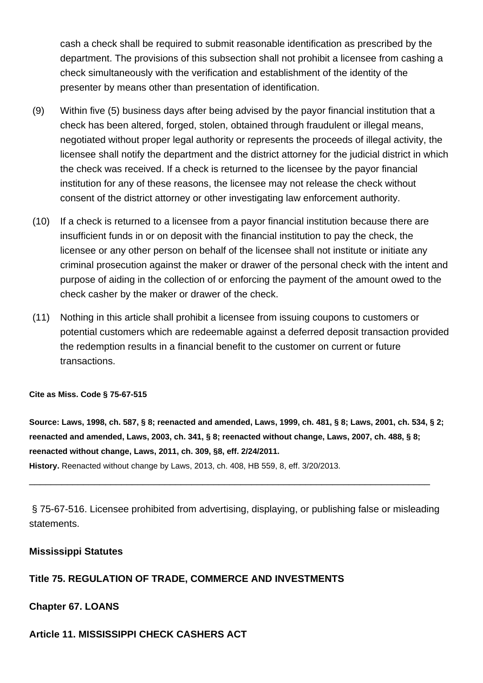cash a check shall be required to submit reasonable identification as prescribed by the department. The provisions of this subsection shall not prohibit a licensee from cashing a check simultaneously with the verification and establishment of the identity of the presenter by means other than presentation of identification.

- (9) Within five (5) business days after being advised by the payor financial institution that a check has been altered, forged, stolen, obtained through fraudulent or illegal means, negotiated without proper legal authority or represents the proceeds of illegal activity, the licensee shall notify the department and the district attorney for the judicial district in which the check was received. If a check is returned to the licensee by the payor financial institution for any of these reasons, the licensee may not release the check without consent of the district attorney or other investigating law enforcement authority.
- (10) If a check is returned to a licensee from a payor financial institution because there are insufficient funds in or on deposit with the financial institution to pay the check, the licensee or any other person on behalf of the licensee shall not institute or initiate any criminal prosecution against the maker or drawer of the personal check with the intent and purpose of aiding in the collection of or enforcing the payment of the amount owed to the check casher by the maker or drawer of the check.
- (11) Nothing in this article shall prohibit a licensee from issuing coupons to customers or potential customers which are redeemable against a deferred deposit transaction provided the redemption results in a financial benefit to the customer on current or future transactions.

#### **Cite as Miss. Code § 75-67-515**

**Source: Laws, 1998, ch. 587, § 8; reenacted and amended, Laws, 1999, ch. 481, § 8; Laws, 2001, ch. 534, § 2; reenacted and amended, Laws, 2003, ch. 341, § 8; reenacted without change, Laws, 2007, ch. 488, § 8; reenacted without change, Laws, 2011, ch. 309, §8, eff. 2/24/2011.**

**History.** Reenacted without change by Laws, 2013, ch. 408, HB 559, 8, eff. 3/20/2013.

§ 75-67-516. Licensee prohibited from advertising, displaying, or publishing false or misleading statements.

\_\_\_\_\_\_\_\_\_\_\_\_\_\_\_\_\_\_\_\_\_\_\_\_\_\_\_\_\_\_\_\_\_\_\_\_\_\_\_\_\_\_\_\_\_\_\_\_\_\_\_\_\_\_\_\_\_\_\_\_\_\_\_\_\_\_\_\_\_\_\_\_\_\_

#### **Mississippi Statutes**

#### **Title 75. REGULATION OF TRADE, COMMERCE AND INVESTMENTS**

#### **Chapter 67. LOANS**

#### **Article 11. MISSISSIPPI CHECK CASHERS ACT**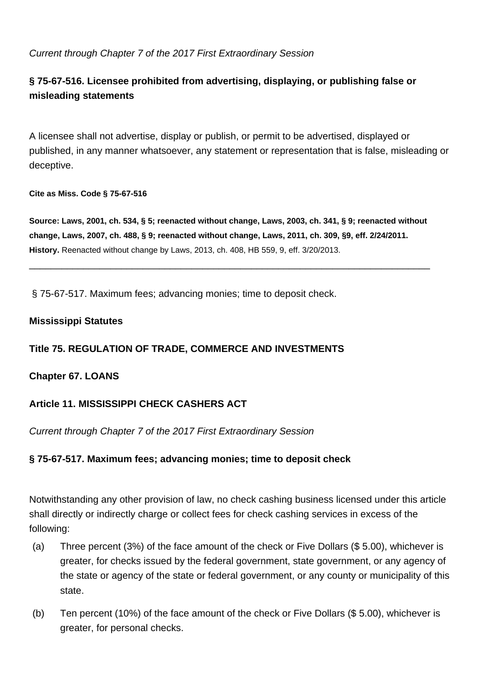# Current through Chapter 7 of the 2017 First Extraordinary Session

# **§ 75-67-516. Licensee prohibited from advertising, displaying, or publishing false or misleading statements**

A licensee shall not advertise, display or publish, or permit to be advertised, displayed or published, in any manner whatsoever, any statement or representation that is false, misleading or deceptive.

#### **Cite as Miss. Code § 75-67-516**

**Source: Laws, 2001, ch. 534, § 5; reenacted without change, Laws, 2003, ch. 341, § 9; reenacted without change, Laws, 2007, ch. 488, § 9; reenacted without change, Laws, 2011, ch. 309, §9, eff. 2/24/2011. History.** Reenacted without change by Laws, 2013, ch. 408, HB 559, 9, eff. 3/20/2013.

\_\_\_\_\_\_\_\_\_\_\_\_\_\_\_\_\_\_\_\_\_\_\_\_\_\_\_\_\_\_\_\_\_\_\_\_\_\_\_\_\_\_\_\_\_\_\_\_\_\_\_\_\_\_\_\_\_\_\_\_\_\_\_\_\_\_\_\_\_\_\_\_\_\_

§ 75-67-517. Maximum fees; advancing monies; time to deposit check.

### **Mississippi Statutes**

# **Title 75. REGULATION OF TRADE, COMMERCE AND INVESTMENTS**

## **Chapter 67. LOANS**

## **Article 11. MISSISSIPPI CHECK CASHERS ACT**

Current through Chapter 7 of the 2017 First Extraordinary Session

## **§ 75-67-517. Maximum fees; advancing monies; time to deposit check**

Notwithstanding any other provision of law, no check cashing business licensed under this article shall directly or indirectly charge or collect fees for check cashing services in excess of the following:

- (a) Three percent (3%) of the face amount of the check or Five Dollars (\$ 5.00), whichever is greater, for checks issued by the federal government, state government, or any agency of the state or agency of the state or federal government, or any county or municipality of this state.
- (b) Ten percent (10%) of the face amount of the check or Five Dollars (\$ 5.00), whichever is greater, for personal checks.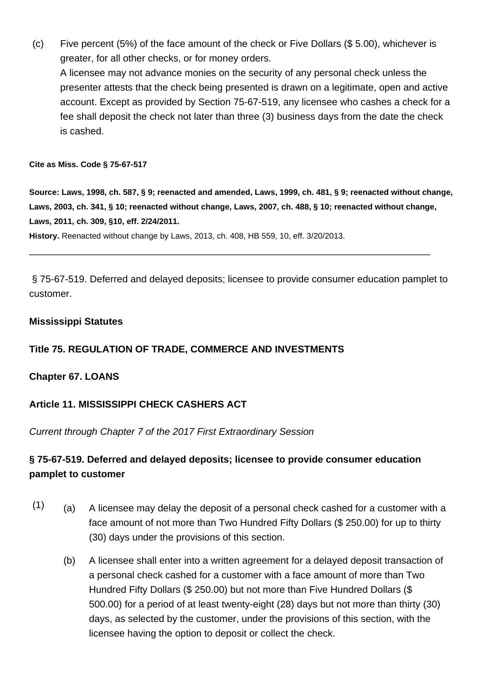(c) Five percent (5%) of the face amount of the check or Five Dollars (\$ 5.00), whichever is greater, for all other checks, or for money orders.

A licensee may not advance monies on the security of any personal check unless the presenter attests that the check being presented is drawn on a legitimate, open and active account. Except as provided by Section 75-67-519, any licensee who cashes a check for a fee shall deposit the check not later than three (3) business days from the date the check is cashed.

#### **Cite as Miss. Code § 75-67-517**

**Source: Laws, 1998, ch. 587, § 9; reenacted and amended, Laws, 1999, ch. 481, § 9; reenacted without change, Laws, 2003, ch. 341, § 10; reenacted without change, Laws, 2007, ch. 488, § 10; reenacted without change, Laws, 2011, ch. 309, §10, eff. 2/24/2011.**

**History.** Reenacted without change by Laws, 2013, ch. 408, HB 559, 10, eff. 3/20/2013.

§ 75-67-519. Deferred and delayed deposits; licensee to provide consumer education pamplet to customer.

\_\_\_\_\_\_\_\_\_\_\_\_\_\_\_\_\_\_\_\_\_\_\_\_\_\_\_\_\_\_\_\_\_\_\_\_\_\_\_\_\_\_\_\_\_\_\_\_\_\_\_\_\_\_\_\_\_\_\_\_\_\_\_\_\_\_\_\_\_\_\_\_\_\_

### **Mississippi Statutes**

# **Title 75. REGULATION OF TRADE, COMMERCE AND INVESTMENTS**

## **Chapter 67. LOANS**

## **Article 11. MISSISSIPPI CHECK CASHERS ACT**

Current through Chapter 7 of the 2017 First Extraordinary Session

# **§ 75-67-519. Deferred and delayed deposits; licensee to provide consumer education pamplet to customer**

- $(1)$  (a) A licensee may delay the deposit of a personal check cashed for a customer with a face amount of not more than Two Hundred Fifty Dollars (\$ 250.00) for up to thirty (30) days under the provisions of this section.
	- (b) A licensee shall enter into a written agreement for a delayed deposit transaction of a personal check cashed for a customer with a face amount of more than Two Hundred Fifty Dollars (\$ 250.00) but not more than Five Hundred Dollars (\$ 500.00) for a period of at least twenty-eight (28) days but not more than thirty (30) days, as selected by the customer, under the provisions of this section, with the licensee having the option to deposit or collect the check.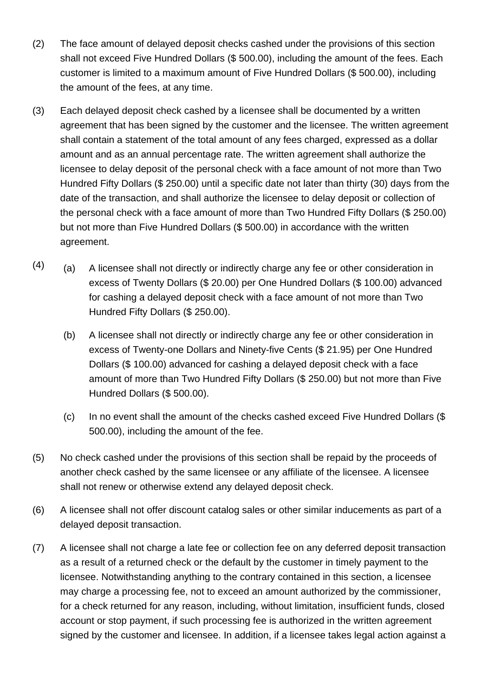- (2) The face amount of delayed deposit checks cashed under the provisions of this section shall not exceed Five Hundred Dollars (\$ 500.00), including the amount of the fees. Each customer is limited to a maximum amount of Five Hundred Dollars (\$ 500.00), including the amount of the fees, at any time.
- (3) Each delayed deposit check cashed by a licensee shall be documented by a written agreement that has been signed by the customer and the licensee. The written agreement shall contain a statement of the total amount of any fees charged, expressed as a dollar amount and as an annual percentage rate. The written agreement shall authorize the licensee to delay deposit of the personal check with a face amount of not more than Two Hundred Fifty Dollars (\$ 250.00) until a specific date not later than thirty (30) days from the date of the transaction, and shall authorize the licensee to delay deposit or collection of the personal check with a face amount of more than Two Hundred Fifty Dollars (\$ 250.00) but not more than Five Hundred Dollars (\$ 500.00) in accordance with the written agreement.
- $(4)$  (a) A licensee shall not directly or indirectly charge any fee or other consideration in excess of Twenty Dollars (\$ 20.00) per One Hundred Dollars (\$ 100.00) advanced for cashing a delayed deposit check with a face amount of not more than Two Hundred Fifty Dollars (\$ 250.00).
	- (b) A licensee shall not directly or indirectly charge any fee or other consideration in excess of Twenty-one Dollars and Ninety-five Cents (\$ 21.95) per One Hundred Dollars (\$ 100.00) advanced for cashing a delayed deposit check with a face amount of more than Two Hundred Fifty Dollars (\$ 250.00) but not more than Five Hundred Dollars (\$ 500.00).
	- (c) In no event shall the amount of the checks cashed exceed Five Hundred Dollars (\$ 500.00), including the amount of the fee.
- (5) No check cashed under the provisions of this section shall be repaid by the proceeds of another check cashed by the same licensee or any affiliate of the licensee. A licensee shall not renew or otherwise extend any delayed deposit check.
- (6) A licensee shall not offer discount catalog sales or other similar inducements as part of a delayed deposit transaction.
- (7) A licensee shall not charge a late fee or collection fee on any deferred deposit transaction as a result of a returned check or the default by the customer in timely payment to the licensee. Notwithstanding anything to the contrary contained in this section, a licensee may charge a processing fee, not to exceed an amount authorized by the commissioner, for a check returned for any reason, including, without limitation, insufficient funds, closed account or stop payment, if such processing fee is authorized in the written agreement signed by the customer and licensee. In addition, if a licensee takes legal action against a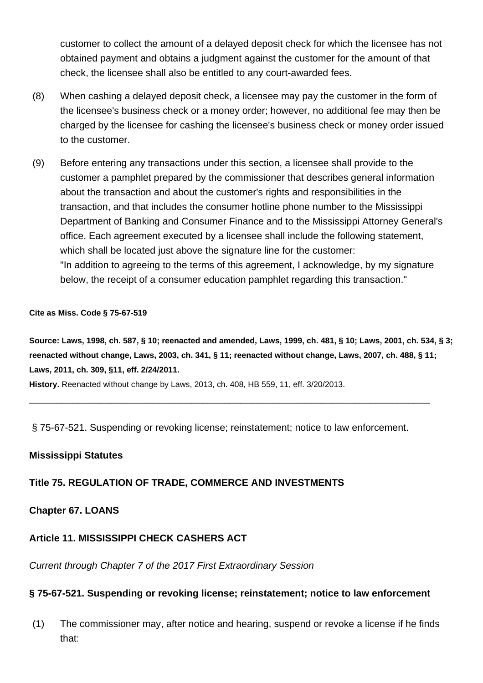customer to collect the amount of a delayed deposit check for which the licensee has not obtained payment and obtains a judgment against the customer for the amount of that check, the licensee shall also be entitled to any court-awarded fees.

- (8) When cashing a delayed deposit check, a licensee may pay the customer in the form of the licensee's business check or a money order; however, no additional fee may then be charged by the licensee for cashing the licensee's business check or money order issued to the customer.
- (9) Before entering any transactions under this section, a licensee shall provide to the customer a pamphlet prepared by the commissioner that describes general information about the transaction and about the customer's rights and responsibilities in the transaction, and that includes the consumer hotline phone number to the Mississippi Department of Banking and Consumer Finance and to the Mississippi Attorney General's office. Each agreement executed by a licensee shall include the following statement, which shall be located just above the signature line for the customer: "In addition to agreeing to the terms of this agreement, I acknowledge, by my signature below, the receipt of a consumer education pamphlet regarding this transaction."

#### **Cite as Miss. Code § 75-67-519**

**Source: Laws, 1998, ch. 587, § 10; reenacted and amended, Laws, 1999, ch. 481, § 10; Laws, 2001, ch. 534, § 3; reenacted without change, Laws, 2003, ch. 341, § 11; reenacted without change, Laws, 2007, ch. 488, § 11; Laws, 2011, ch. 309, §11, eff. 2/24/2011.**

**History.** Reenacted without change by Laws, 2013, ch. 408, HB 559, 11, eff. 3/20/2013.

§ 75-67-521. Suspending or revoking license; reinstatement; notice to law enforcement.

\_\_\_\_\_\_\_\_\_\_\_\_\_\_\_\_\_\_\_\_\_\_\_\_\_\_\_\_\_\_\_\_\_\_\_\_\_\_\_\_\_\_\_\_\_\_\_\_\_\_\_\_\_\_\_\_\_\_\_\_\_\_\_\_\_\_\_\_\_\_\_\_\_\_

#### **Mississippi Statutes**

## **Title 75. REGULATION OF TRADE, COMMERCE AND INVESTMENTS**

#### **Chapter 67. LOANS**

## **Article 11. MISSISSIPPI CHECK CASHERS ACT**

Current through Chapter 7 of the 2017 First Extraordinary Session

## **§ 75-67-521. Suspending or revoking license; reinstatement; notice to law enforcement**

(1) The commissioner may, after notice and hearing, suspend or revoke a license if he finds that: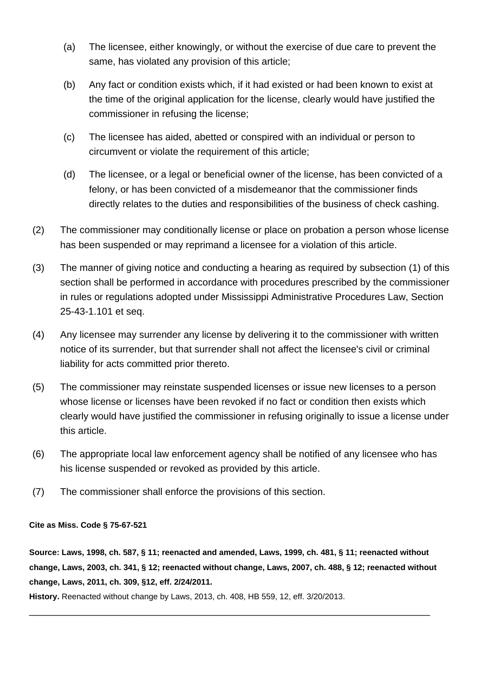- (a) The licensee, either knowingly, or without the exercise of due care to prevent the same, has violated any provision of this article;
- (b) Any fact or condition exists which, if it had existed or had been known to exist at the time of the original application for the license, clearly would have justified the commissioner in refusing the license;
- (c) The licensee has aided, abetted or conspired with an individual or person to circumvent or violate the requirement of this article;
- (d) The licensee, or a legal or beneficial owner of the license, has been convicted of a felony, or has been convicted of a misdemeanor that the commissioner finds directly relates to the duties and responsibilities of the business of check cashing.
- (2) The commissioner may conditionally license or place on probation a person whose license has been suspended or may reprimand a licensee for a violation of this article.
- (3) The manner of giving notice and conducting a hearing as required by subsection (1) of this section shall be performed in accordance with procedures prescribed by the commissioner in rules or regulations adopted under Mississippi Administrative Procedures Law, Section 25-43-1.101 et seq.
- (4) Any licensee may surrender any license by delivering it to the commissioner with written notice of its surrender, but that surrender shall not affect the licensee's civil or criminal liability for acts committed prior thereto.
- (5) The commissioner may reinstate suspended licenses or issue new licenses to a person whose license or licenses have been revoked if no fact or condition then exists which clearly would have justified the commissioner in refusing originally to issue a license under this article.
- (6) The appropriate local law enforcement agency shall be notified of any licensee who has his license suspended or revoked as provided by this article.
- (7) The commissioner shall enforce the provisions of this section.

#### **Cite as Miss. Code § 75-67-521**

**Source: Laws, 1998, ch. 587, § 11; reenacted and amended, Laws, 1999, ch. 481, § 11; reenacted without change, Laws, 2003, ch. 341, § 12; reenacted without change, Laws, 2007, ch. 488, § 12; reenacted without change, Laws, 2011, ch. 309, §12, eff. 2/24/2011.**

\_\_\_\_\_\_\_\_\_\_\_\_\_\_\_\_\_\_\_\_\_\_\_\_\_\_\_\_\_\_\_\_\_\_\_\_\_\_\_\_\_\_\_\_\_\_\_\_\_\_\_\_\_\_\_\_\_\_\_\_\_\_\_\_\_\_\_\_\_\_\_\_\_\_

**History.** Reenacted without change by Laws, 2013, ch. 408, HB 559, 12, eff. 3/20/2013.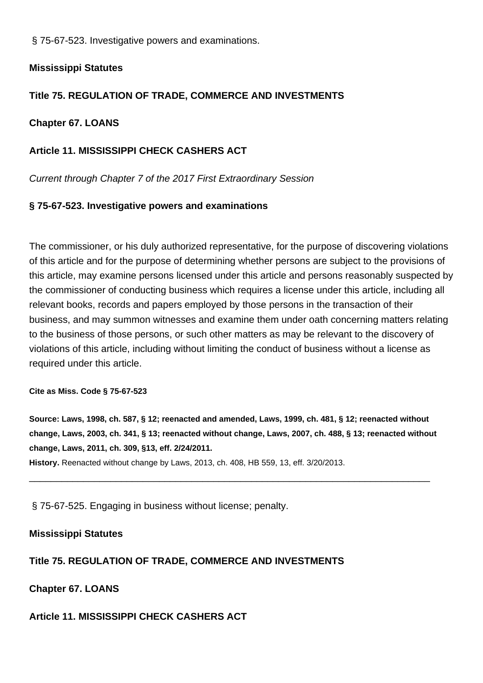§ 75-67-523. Investigative powers and examinations.

### **Mississippi Statutes**

# **Title 75. REGULATION OF TRADE, COMMERCE AND INVESTMENTS**

### **Chapter 67. LOANS**

# **Article 11. MISSISSIPPI CHECK CASHERS ACT**

Current through Chapter 7 of the 2017 First Extraordinary Session

### **§ 75-67-523. Investigative powers and examinations**

The commissioner, or his duly authorized representative, for the purpose of discovering violations of this article and for the purpose of determining whether persons are subject to the provisions of this article, may examine persons licensed under this article and persons reasonably suspected by the commissioner of conducting business which requires a license under this article, including all relevant books, records and papers employed by those persons in the transaction of their business, and may summon witnesses and examine them under oath concerning matters relating to the business of those persons, or such other matters as may be relevant to the discovery of violations of this article, including without limiting the conduct of business without a license as required under this article.

#### **Cite as Miss. Code § 75-67-523**

**Source: Laws, 1998, ch. 587, § 12; reenacted and amended, Laws, 1999, ch. 481, § 12; reenacted without change, Laws, 2003, ch. 341, § 13; reenacted without change, Laws, 2007, ch. 488, § 13; reenacted without change, Laws, 2011, ch. 309, §13, eff. 2/24/2011.**

\_\_\_\_\_\_\_\_\_\_\_\_\_\_\_\_\_\_\_\_\_\_\_\_\_\_\_\_\_\_\_\_\_\_\_\_\_\_\_\_\_\_\_\_\_\_\_\_\_\_\_\_\_\_\_\_\_\_\_\_\_\_\_\_\_\_\_\_\_\_\_\_\_\_

**History.** Reenacted without change by Laws, 2013, ch. 408, HB 559, 13, eff. 3/20/2013.

§ 75-67-525. Engaging in business without license; penalty.

#### **Mississippi Statutes**

## **Title 75. REGULATION OF TRADE, COMMERCE AND INVESTMENTS**

**Chapter 67. LOANS**

## **Article 11. MISSISSIPPI CHECK CASHERS ACT**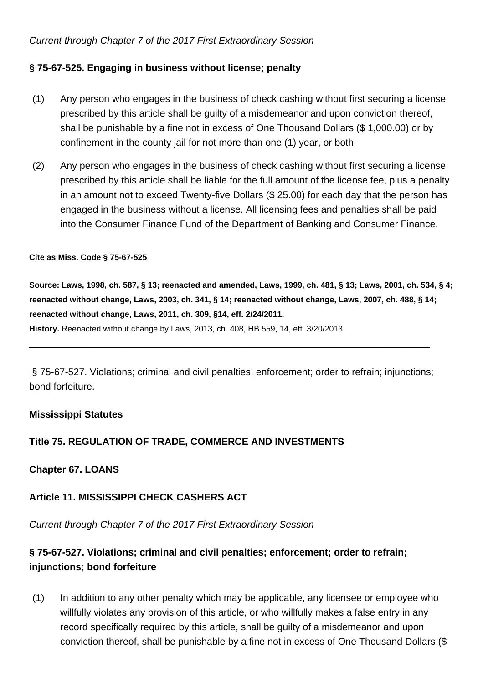### Current through Chapter 7 of the 2017 First Extraordinary Session

### **§ 75-67-525. Engaging in business without license; penalty**

- (1) Any person who engages in the business of check cashing without first securing a license prescribed by this article shall be guilty of a misdemeanor and upon conviction thereof, shall be punishable by a fine not in excess of One Thousand Dollars (\$ 1,000.00) or by confinement in the county jail for not more than one (1) year, or both.
- (2) Any person who engages in the business of check cashing without first securing a license prescribed by this article shall be liable for the full amount of the license fee, plus a penalty in an amount not to exceed Twenty-five Dollars (\$ 25.00) for each day that the person has engaged in the business without a license. All licensing fees and penalties shall be paid into the Consumer Finance Fund of the Department of Banking and Consumer Finance.

#### **Cite as Miss. Code § 75-67-525**

**Source: Laws, 1998, ch. 587, § 13; reenacted and amended, Laws, 1999, ch. 481, § 13; Laws, 2001, ch. 534, § 4; reenacted without change, Laws, 2003, ch. 341, § 14; reenacted without change, Laws, 2007, ch. 488, § 14; reenacted without change, Laws, 2011, ch. 309, §14, eff. 2/24/2011. History.** Reenacted without change by Laws, 2013, ch. 408, HB 559, 14, eff. 3/20/2013.

§ 75-67-527. Violations; criminal and civil penalties; enforcement; order to refrain; injunctions; bond forfeiture.

\_\_\_\_\_\_\_\_\_\_\_\_\_\_\_\_\_\_\_\_\_\_\_\_\_\_\_\_\_\_\_\_\_\_\_\_\_\_\_\_\_\_\_\_\_\_\_\_\_\_\_\_\_\_\_\_\_\_\_\_\_\_\_\_\_\_\_\_\_\_\_\_\_\_

#### **Mississippi Statutes**

## **Title 75. REGULATION OF TRADE, COMMERCE AND INVESTMENTS**

#### **Chapter 67. LOANS**

## **Article 11. MISSISSIPPI CHECK CASHERS ACT**

Current through Chapter 7 of the 2017 First Extraordinary Session

# **§ 75-67-527. Violations; criminal and civil penalties; enforcement; order to refrain; injunctions; bond forfeiture**

(1) In addition to any other penalty which may be applicable, any licensee or employee who willfully violates any provision of this article, or who willfully makes a false entry in any record specifically required by this article, shall be guilty of a misdemeanor and upon conviction thereof, shall be punishable by a fine not in excess of One Thousand Dollars (\$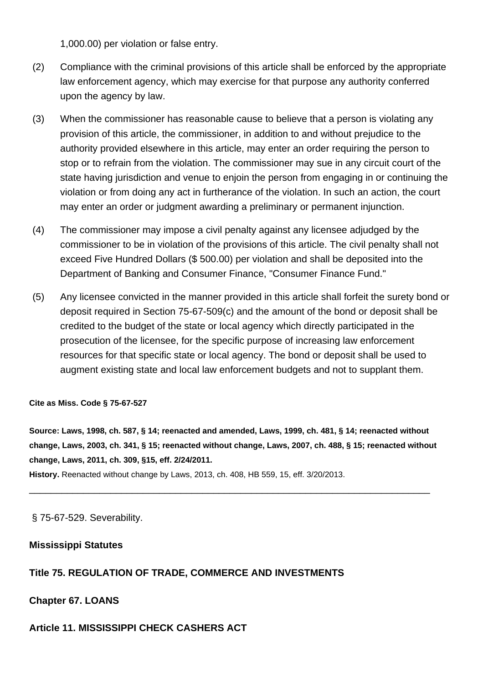1,000.00) per violation or false entry.

- (2) Compliance with the criminal provisions of this article shall be enforced by the appropriate law enforcement agency, which may exercise for that purpose any authority conferred upon the agency by law.
- (3) When the commissioner has reasonable cause to believe that a person is violating any provision of this article, the commissioner, in addition to and without prejudice to the authority provided elsewhere in this article, may enter an order requiring the person to stop or to refrain from the violation. The commissioner may sue in any circuit court of the state having jurisdiction and venue to enjoin the person from engaging in or continuing the violation or from doing any act in furtherance of the violation. In such an action, the court may enter an order or judgment awarding a preliminary or permanent injunction.
- (4) The commissioner may impose a civil penalty against any licensee adjudged by the commissioner to be in violation of the provisions of this article. The civil penalty shall not exceed Five Hundred Dollars (\$ 500.00) per violation and shall be deposited into the Department of Banking and Consumer Finance, "Consumer Finance Fund."
- (5) Any licensee convicted in the manner provided in this article shall forfeit the surety bond or deposit required in Section 75-67-509(c) and the amount of the bond or deposit shall be credited to the budget of the state or local agency which directly participated in the prosecution of the licensee, for the specific purpose of increasing law enforcement resources for that specific state or local agency. The bond or deposit shall be used to augment existing state and local law enforcement budgets and not to supplant them.

**Cite as Miss. Code § 75-67-527**

**Source: Laws, 1998, ch. 587, § 14; reenacted and amended, Laws, 1999, ch. 481, § 14; reenacted without change, Laws, 2003, ch. 341, § 15; reenacted without change, Laws, 2007, ch. 488, § 15; reenacted without change, Laws, 2011, ch. 309, §15, eff. 2/24/2011.**

\_\_\_\_\_\_\_\_\_\_\_\_\_\_\_\_\_\_\_\_\_\_\_\_\_\_\_\_\_\_\_\_\_\_\_\_\_\_\_\_\_\_\_\_\_\_\_\_\_\_\_\_\_\_\_\_\_\_\_\_\_\_\_\_\_\_\_\_\_\_\_\_\_\_

**History.** Reenacted without change by Laws, 2013, ch. 408, HB 559, 15, eff. 3/20/2013.

§ 75-67-529. Severability.

#### **Mississippi Statutes**

## **Title 75. REGULATION OF TRADE, COMMERCE AND INVESTMENTS**

**Chapter 67. LOANS**

#### **Article 11. MISSISSIPPI CHECK CASHERS ACT**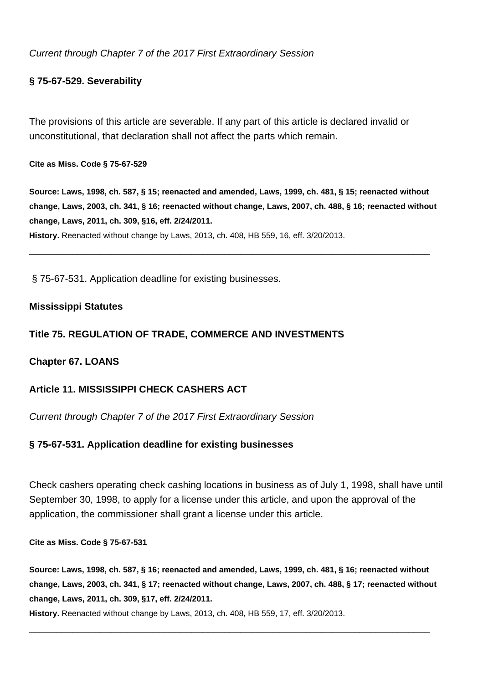Current through Chapter 7 of the 2017 First Extraordinary Session

## **§ 75-67-529. Severability**

The provisions of this article are severable. If any part of this article is declared invalid or unconstitutional, that declaration shall not affect the parts which remain.

**Cite as Miss. Code § 75-67-529**

**Source: Laws, 1998, ch. 587, § 15; reenacted and amended, Laws, 1999, ch. 481, § 15; reenacted without change, Laws, 2003, ch. 341, § 16; reenacted without change, Laws, 2007, ch. 488, § 16; reenacted without change, Laws, 2011, ch. 309, §16, eff. 2/24/2011.**

\_\_\_\_\_\_\_\_\_\_\_\_\_\_\_\_\_\_\_\_\_\_\_\_\_\_\_\_\_\_\_\_\_\_\_\_\_\_\_\_\_\_\_\_\_\_\_\_\_\_\_\_\_\_\_\_\_\_\_\_\_\_\_\_\_\_\_\_\_\_\_\_\_\_

**History.** Reenacted without change by Laws, 2013, ch. 408, HB 559, 16, eff. 3/20/2013.

§ 75-67-531. Application deadline for existing businesses.

### **Mississippi Statutes**

## **Title 75. REGULATION OF TRADE, COMMERCE AND INVESTMENTS**

#### **Chapter 67. LOANS**

## **Article 11. MISSISSIPPI CHECK CASHERS ACT**

Current through Chapter 7 of the 2017 First Extraordinary Session

## **§ 75-67-531. Application deadline for existing businesses**

Check cashers operating check cashing locations in business as of July 1, 1998, shall have until September 30, 1998, to apply for a license under this article, and upon the approval of the application, the commissioner shall grant a license under this article.

**Cite as Miss. Code § 75-67-531**

**Source: Laws, 1998, ch. 587, § 16; reenacted and amended, Laws, 1999, ch. 481, § 16; reenacted without change, Laws, 2003, ch. 341, § 17; reenacted without change, Laws, 2007, ch. 488, § 17; reenacted without change, Laws, 2011, ch. 309, §17, eff. 2/24/2011.**

\_\_\_\_\_\_\_\_\_\_\_\_\_\_\_\_\_\_\_\_\_\_\_\_\_\_\_\_\_\_\_\_\_\_\_\_\_\_\_\_\_\_\_\_\_\_\_\_\_\_\_\_\_\_\_\_\_\_\_\_\_\_\_\_\_\_\_\_\_\_\_\_\_\_

**History.** Reenacted without change by Laws, 2013, ch. 408, HB 559, 17, eff. 3/20/2013.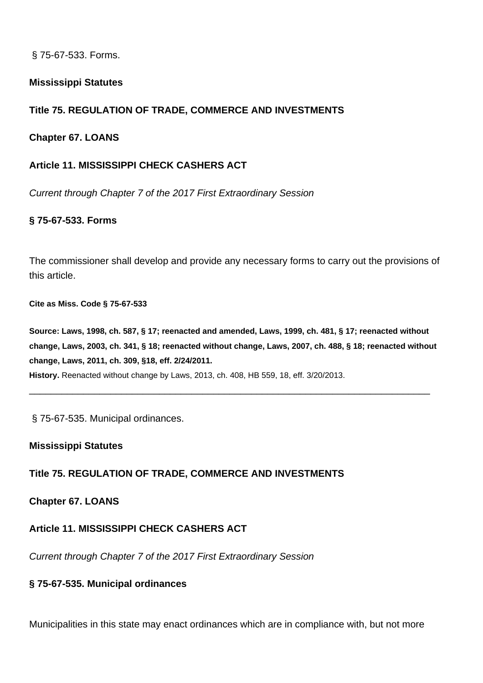§ 75-67-533. Forms.

### **Mississippi Statutes**

# **Title 75. REGULATION OF TRADE, COMMERCE AND INVESTMENTS**

### **Chapter 67. LOANS**

## **Article 11. MISSISSIPPI CHECK CASHERS ACT**

Current through Chapter 7 of the 2017 First Extraordinary Session

## **§ 75-67-533. Forms**

The commissioner shall develop and provide any necessary forms to carry out the provisions of this article.

**Cite as Miss. Code § 75-67-533**

**Source: Laws, 1998, ch. 587, § 17; reenacted and amended, Laws, 1999, ch. 481, § 17; reenacted without change, Laws, 2003, ch. 341, § 18; reenacted without change, Laws, 2007, ch. 488, § 18; reenacted without change, Laws, 2011, ch. 309, §18, eff. 2/24/2011.**

\_\_\_\_\_\_\_\_\_\_\_\_\_\_\_\_\_\_\_\_\_\_\_\_\_\_\_\_\_\_\_\_\_\_\_\_\_\_\_\_\_\_\_\_\_\_\_\_\_\_\_\_\_\_\_\_\_\_\_\_\_\_\_\_\_\_\_\_\_\_\_\_\_\_

**History.** Reenacted without change by Laws, 2013, ch. 408, HB 559, 18, eff. 3/20/2013.

§ 75-67-535. Municipal ordinances.

#### **Mississippi Statutes**

## **Title 75. REGULATION OF TRADE, COMMERCE AND INVESTMENTS**

#### **Chapter 67. LOANS**

## **Article 11. MISSISSIPPI CHECK CASHERS ACT**

Current through Chapter 7 of the 2017 First Extraordinary Session

#### **§ 75-67-535. Municipal ordinances**

Municipalities in this state may enact ordinances which are in compliance with, but not more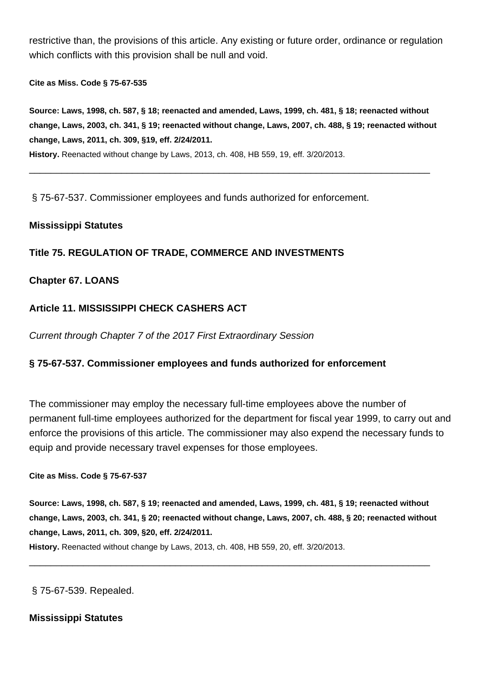restrictive than, the provisions of this article. Any existing or future order, ordinance or regulation which conflicts with this provision shall be null and void.

**Cite as Miss. Code § 75-67-535**

**Source: Laws, 1998, ch. 587, § 18; reenacted and amended, Laws, 1999, ch. 481, § 18; reenacted without change, Laws, 2003, ch. 341, § 19; reenacted without change, Laws, 2007, ch. 488, § 19; reenacted without change, Laws, 2011, ch. 309, §19, eff. 2/24/2011. History.** Reenacted without change by Laws, 2013, ch. 408, HB 559, 19, eff. 3/20/2013.

\_\_\_\_\_\_\_\_\_\_\_\_\_\_\_\_\_\_\_\_\_\_\_\_\_\_\_\_\_\_\_\_\_\_\_\_\_\_\_\_\_\_\_\_\_\_\_\_\_\_\_\_\_\_\_\_\_\_\_\_\_\_\_\_\_\_\_\_\_\_\_\_\_\_

§ 75-67-537. Commissioner employees and funds authorized for enforcement.

### **Mississippi Statutes**

# **Title 75. REGULATION OF TRADE, COMMERCE AND INVESTMENTS**

### **Chapter 67. LOANS**

### **Article 11. MISSISSIPPI CHECK CASHERS ACT**

Current through Chapter 7 of the 2017 First Extraordinary Session

#### **§ 75-67-537. Commissioner employees and funds authorized for enforcement**

The commissioner may employ the necessary full-time employees above the number of permanent full-time employees authorized for the department for fiscal year 1999, to carry out and enforce the provisions of this article. The commissioner may also expend the necessary funds to equip and provide necessary travel expenses for those employees.

#### **Cite as Miss. Code § 75-67-537**

**Source: Laws, 1998, ch. 587, § 19; reenacted and amended, Laws, 1999, ch. 481, § 19; reenacted without change, Laws, 2003, ch. 341, § 20; reenacted without change, Laws, 2007, ch. 488, § 20; reenacted without change, Laws, 2011, ch. 309, §20, eff. 2/24/2011.**

\_\_\_\_\_\_\_\_\_\_\_\_\_\_\_\_\_\_\_\_\_\_\_\_\_\_\_\_\_\_\_\_\_\_\_\_\_\_\_\_\_\_\_\_\_\_\_\_\_\_\_\_\_\_\_\_\_\_\_\_\_\_\_\_\_\_\_\_\_\_\_\_\_\_

**History.** Reenacted without change by Laws, 2013, ch. 408, HB 559, 20, eff. 3/20/2013.

§ 75-67-539. Repealed.

#### **Mississippi Statutes**